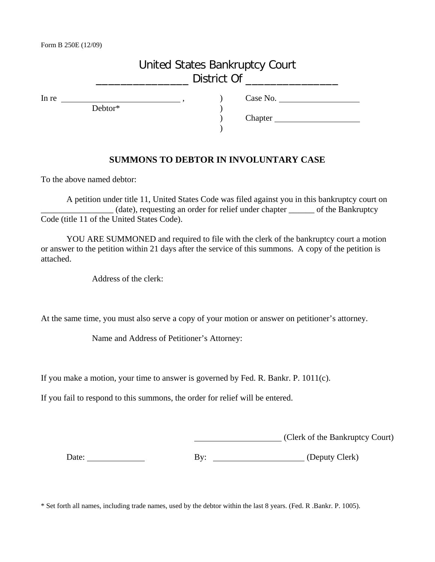## United States Bankruptcy Court \_\_\_\_\_\_\_\_\_\_\_\_\_\_\_ District Of \_\_\_\_\_\_\_\_\_\_\_\_\_\_\_

Debtor\* )

In re <br>
Debtor\*
<br>
Debtor<sup>\*</sup>
<br>
(bedded)
<br>
(bedded)
<br>
(bedded)
<br>
(bedded)
<br>
(bedded)
<br>
(bedded)
<br>
(bedded)
<br>
(bedded)
<br>
(contact of the summer of the summer of the summer of the summer of the summer of the summer of the summ

) Chapter

## **SUMMONS TO DEBTOR IN INVOLUNTARY CASE**

)

To the above named debtor:

A petition under title 11, United States Code was filed against you in this bankruptcy court on \_\_\_\_\_\_\_\_\_\_\_\_\_\_\_\_\_ (date), requesting an order for relief under chapter \_\_\_\_\_\_ of the Bankruptcy Code (title 11 of the United States Code).

YOU ARE SUMMONED and required to file with the clerk of the bankruptcy court a motion or answer to the petition within 21 days after the service of this summons. A copy of the petition is attached.

Address of the clerk:

At the same time, you must also serve a copy of your motion or answer on petitioner's attorney.

Name and Address of Petitioner's Attorney:

If you make a motion, your time to answer is governed by Fed. R. Bankr. P. 1011(c).

If you fail to respond to this summons, the order for relief will be entered.

(Clerk of the Bankruptcy Court)

Date: <u>New York By:</u> By: By: (Deputy Clerk)

\* Set forth all names, including trade names, used by the debtor within the last 8 years. (Fed. R .Bankr. P. 1005).